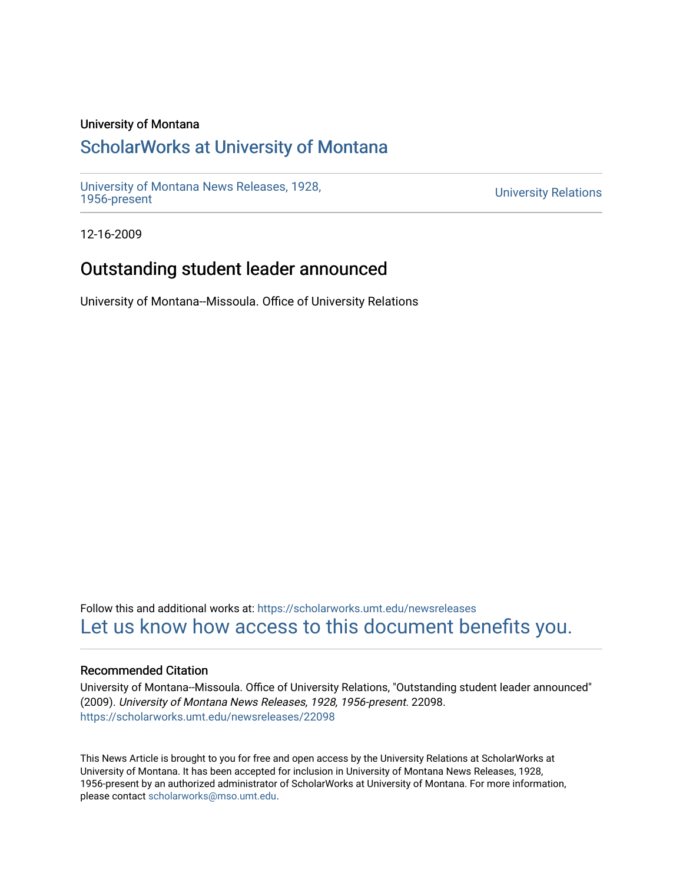#### University of Montana

## [ScholarWorks at University of Montana](https://scholarworks.umt.edu/)

[University of Montana News Releases, 1928,](https://scholarworks.umt.edu/newsreleases) 

**University Relations** 

12-16-2009

## Outstanding student leader announced

University of Montana--Missoula. Office of University Relations

Follow this and additional works at: [https://scholarworks.umt.edu/newsreleases](https://scholarworks.umt.edu/newsreleases?utm_source=scholarworks.umt.edu%2Fnewsreleases%2F22098&utm_medium=PDF&utm_campaign=PDFCoverPages) [Let us know how access to this document benefits you.](https://goo.gl/forms/s2rGfXOLzz71qgsB2) 

#### Recommended Citation

University of Montana--Missoula. Office of University Relations, "Outstanding student leader announced" (2009). University of Montana News Releases, 1928, 1956-present. 22098. [https://scholarworks.umt.edu/newsreleases/22098](https://scholarworks.umt.edu/newsreleases/22098?utm_source=scholarworks.umt.edu%2Fnewsreleases%2F22098&utm_medium=PDF&utm_campaign=PDFCoverPages) 

This News Article is brought to you for free and open access by the University Relations at ScholarWorks at University of Montana. It has been accepted for inclusion in University of Montana News Releases, 1928, 1956-present by an authorized administrator of ScholarWorks at University of Montana. For more information, please contact [scholarworks@mso.umt.edu.](mailto:scholarworks@mso.umt.edu)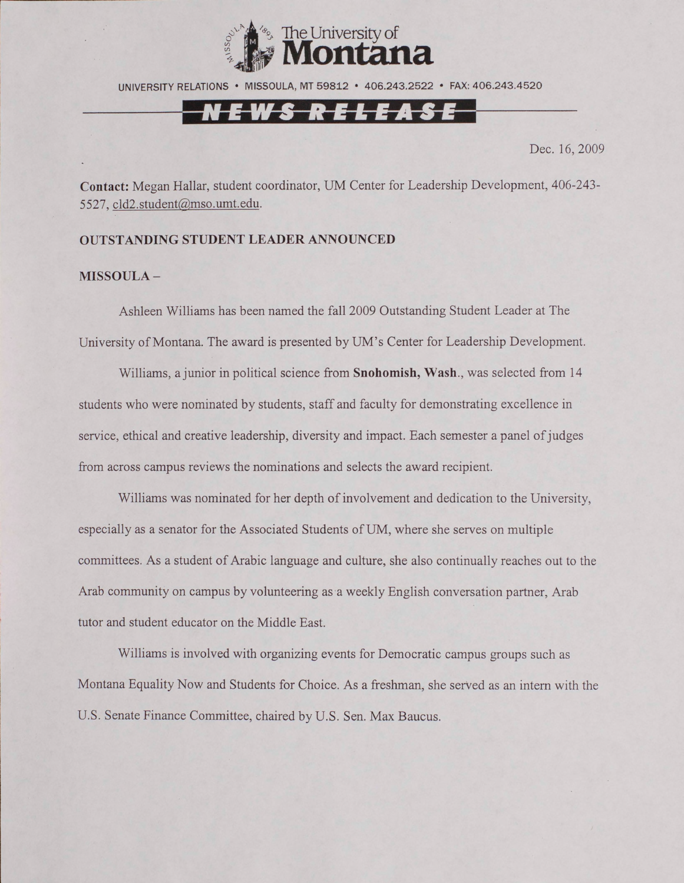

UNIVERSITY RELATIONS • MISSOULA, MT 59812 • 406.243.2522 • FAX: 406.243.4520

# EWS RELEASE

Dec. 16, 2009

**Contact:** Megan Hallar, student coordinator, UM Center for Leadership Development, 406-243- 5527, [cld2.student@mso.umt.edu.](mailto:cld2.student@mso.umt.edu)

### **OUTSTANDING STUDENT LEADER ANNOUNCED**

#### **MISSOULA -**

Ashleen Williams has been named the fall 2009 Outstanding Student Leader at The University of Montana. The award is presented by UM's Center for Leadership Development.

Williams, a junior in political science from **Snohomish, Wash.,** was selected from 14 students who were nominated by students, staff and faculty for demonstrating excellence in service, ethical and creative leadership, diversity and impact. Each semester a panel of judges from across campus reviews the nominations and selects the award recipient.

Williams was nominated for her depth of involvement and dedication to the University, especially as a senator for the Associated Students of UM, where she serves on multiple committees. As a student of Arabic language and culture, she also continually reaches out to the Arab community on campus by volunteering as a weekly English conversation partner, Arab tutor and student educator on the Middle East.

Williams is involved with organizing events for Democratic campus groups such as Montana Equality Now and Students for Choice. As a freshman, she served as an intern with the U.S. Senate Finance Committee, chaired by U.S. Sen. Max Baucus.